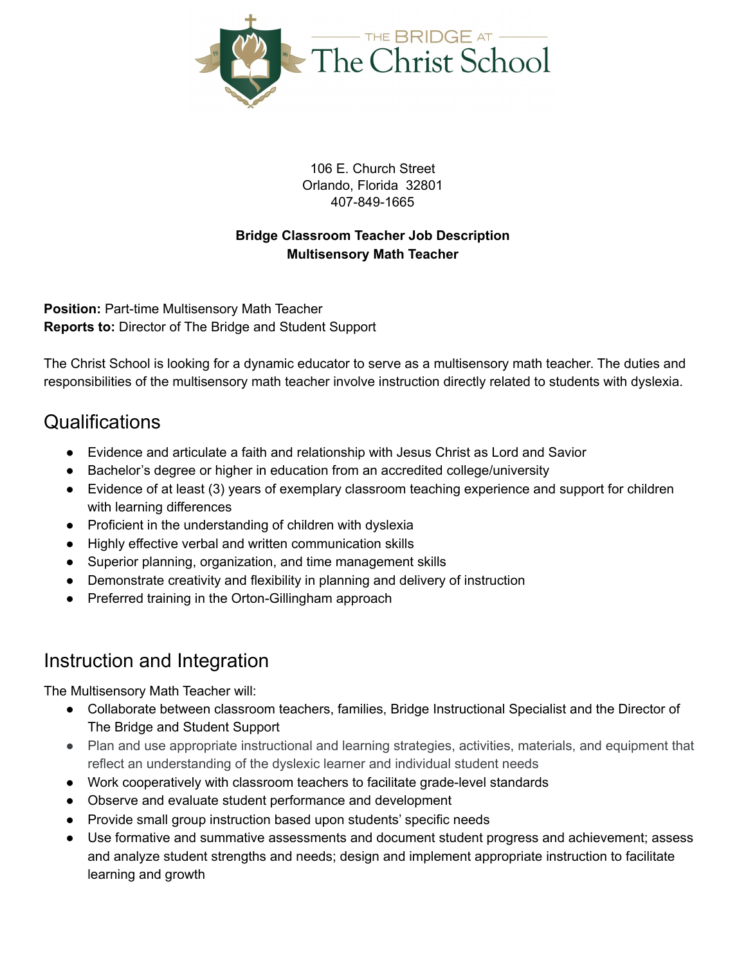

106 E. Church Street Orlando, Florida 32801 407-849-1665

#### **Bridge Classroom Teacher Job Description Multisensory Math Teacher**

**Position:** Part-time Multisensory Math Teacher **Reports to:** Director of The Bridge and Student Support

The Christ School is looking for a dynamic educator to serve as a multisensory math teacher. The duties and responsibilities of the multisensory math teacher involve instruction directly related to students with dyslexia.

### Qualifications

- Evidence and articulate a faith and relationship with Jesus Christ as Lord and Savior
- Bachelor's degree or higher in education from an accredited college/university
- Evidence of at least (3) years of exemplary classroom teaching experience and support for children with learning differences
- Proficient in the understanding of children with dyslexia
- Highly effective verbal and written communication skills
- Superior planning, organization, and time management skills
- Demonstrate creativity and flexibility in planning and delivery of instruction
- Preferred training in the Orton-Gillingham approach

### Instruction and Integration

The Multisensory Math Teacher will:

- Collaborate between classroom teachers, families, Bridge Instructional Specialist and the Director of The Bridge and Student Support
- Plan and use appropriate instructional and learning strategies, activities, materials, and equipment that reflect an understanding of the dyslexic learner and individual student needs
- Work cooperatively with classroom teachers to facilitate grade-level standards
- Observe and evaluate student performance and development
- Provide small group instruction based upon students' specific needs
- Use formative and summative assessments and document student progress and achievement; assess and analyze student strengths and needs; design and implement appropriate instruction to facilitate learning and growth